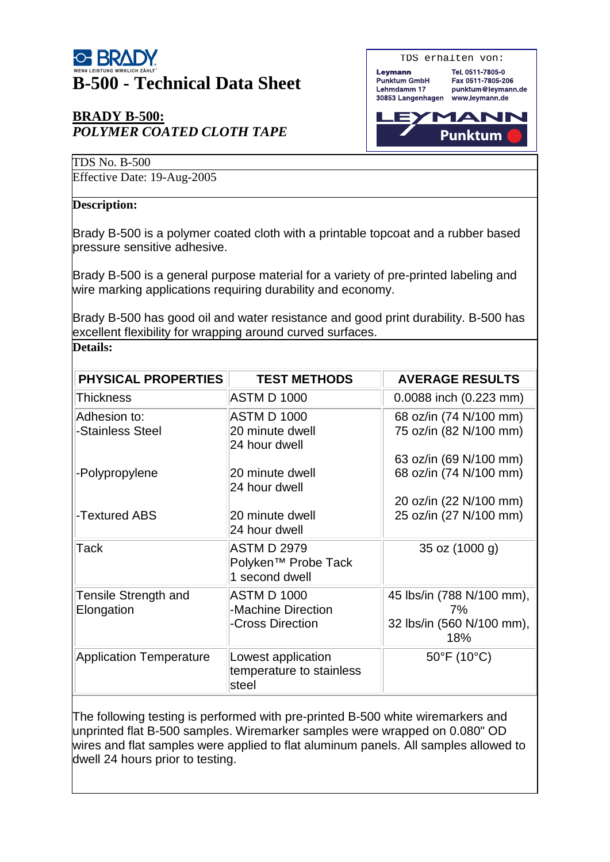# **B-500 - Technical Data Sheet**

## **BRADY B-500:** *POLYMER COATED CLOTH TAPE*



TDS No. B-500

Effective Date: 19-Aug-2005

#### **Description:**

**Details:**

Brady B-500 is a polymer coated cloth with a printable topcoat and a rubber based pressure sensitive adhesive.

Brady B-500 is a general purpose material for a variety of pre-printed labeling and wire marking applications requiring durability and economy.

Brady B-500 has good oil and water resistance and good print durability. B-500 has excellent flexibility for wrapping around curved surfaces.

| <b>PHYSICAL PROPERTIES</b>         | <b>TEST METHODS</b>                                                     | <b>AVERAGE RESULTS</b>           |  |  |  |
|------------------------------------|-------------------------------------------------------------------------|----------------------------------|--|--|--|
| Thickness                          | <b>ASTM D 1000</b>                                                      | 0.0088 inch (0.223 mm)           |  |  |  |
| Adhesion to:                       | <b>ASTM D 1000</b>                                                      | 68 oz/in (74 N/100 mm)           |  |  |  |
| -Stainless Steel                   | 20 minute dwell<br>24 hour dwell                                        | 75 oz/in (82 N/100 mm)           |  |  |  |
|                                    |                                                                         | 63 oz/in (69 N/100 mm)           |  |  |  |
| -Polypropylene                     | 20 minute dwell<br>24 hour dwell                                        | 68 oz/in (74 N/100 mm)           |  |  |  |
|                                    |                                                                         | 20 oz/in (22 N/100 mm)           |  |  |  |
| -Textured ABS                      | 20 minute dwell<br>24 hour dwell                                        | 25 oz/in (27 N/100 mm)           |  |  |  |
| Tack                               | <b>ASTM D 2979</b><br>Polyken <sup>™</sup> Probe Tack<br>1 second dwell | 35 oz (1000 g)                   |  |  |  |
| Tensile Strength and<br>Elongation | <b>ASTM D 1000</b><br>-Machine Direction                                | 45 lbs/in (788 N/100 mm),<br>7%  |  |  |  |
|                                    | -Cross Direction                                                        | 32 lbs/in (560 N/100 mm),<br>18% |  |  |  |
| <b>Application Temperature</b>     | Lowest application<br>temperature to stainless<br>steel                 | 50°F (10°C)                      |  |  |  |

The following testing is performed with pre-printed B-500 white wiremarkers and unprinted flat B-500 samples. Wiremarker samples were wrapped on 0.080" OD wires and flat samples were applied to flat aluminum panels. All samples allowed to dwell 24 hours prior to testing.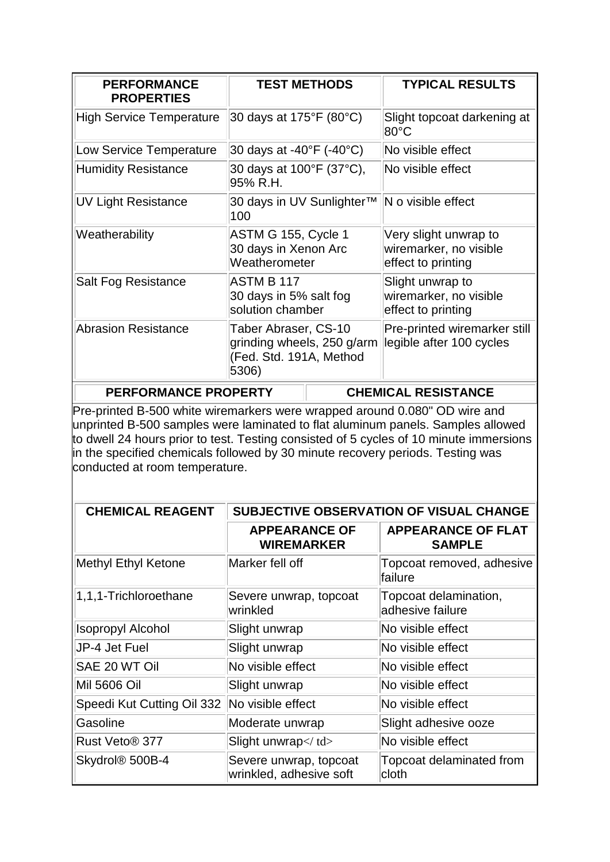| <b>PERFORMANCE</b><br><b>PROPERTIES</b> |                                                                                        | <b>TEST METHODS</b> | <b>TYPICAL RESULTS</b>                                                |
|-----------------------------------------|----------------------------------------------------------------------------------------|---------------------|-----------------------------------------------------------------------|
| High Service Temperature                | 30 days at 175°F (80°C)                                                                |                     | Slight topcoat darkening at<br>$80^{\circ}$ C                         |
| Low Service Temperature                 | 30 days at -40°F (-40°C)                                                               |                     | No visible effect                                                     |
| <b>Humidity Resistance</b>              | 30 days at 100°F (37°C),<br>95% R.H.                                                   |                     | No visible effect                                                     |
| <b>UV Light Resistance</b>              | 30 days in UV Sunlighter™<br>100                                                       |                     | $\mathsf{N}\circ\mathsf{visible}$ effect                              |
| Weatherability                          | ASTM G 155, Cycle 1<br>30 days in Xenon Arc<br>Weatherometer                           |                     | Very slight unwrap to<br>wiremarker, no visible<br>effect to printing |
| Salt Fog Resistance                     | ASTM B 117<br>30 days in 5% salt fog<br>solution chamber                               |                     | Slight unwrap to<br>wiremarker, no visible<br>effect to printing      |
| Abrasion Resistance                     | Taber Abraser, CS-10<br>grinding wheels, 250 g/arm<br>(Fed. Std. 191A, Method<br>5306) |                     | Pre-printed wiremarker still<br>legible after 100 cycles              |
| <b>PERFORMANCE PROPERTY</b>             |                                                                                        |                     | <b>CHEMICAL RESISTANCE</b>                                            |

Pre-printed B-500 white wiremarkers were wrapped around 0.080" OD wire and unprinted B-500 samples were laminated to flat aluminum panels. Samples allowed to dwell 24 hours prior to test. Testing consisted of 5 cycles of 10 minute immersions in the specified chemicals followed by 30 minute recovery periods. Testing was conducted at room temperature.

| <b>CHEMICAL REAGENT</b>     | SUBJECTIVE OBSERVATION OF VISUAL CHANGE           |                                            |  |
|-----------------------------|---------------------------------------------------|--------------------------------------------|--|
|                             | <b>APPEARANCE OF</b><br><b>WIREMARKER</b>         | <b>APPEARANCE OF FLAT</b><br><b>SAMPLE</b> |  |
| Methyl Ethyl Ketone         | Marker fell off                                   | Topcoat removed, adhesive<br>failure       |  |
| 1,1,1-Trichloroethane       | Severe unwrap, topcoat<br>wrinkled                | Topcoat delamination,<br>adhesive failure  |  |
| <b>Isopropyl Alcohol</b>    | Slight unwrap                                     | No visible effect                          |  |
| UP-4 Jet Fuel               | Slight unwrap                                     | No visible effect                          |  |
| SAE 20 WT Oil               | No visible effect                                 | No visible effect                          |  |
| Mil 5606 Oil                | Slight unwrap                                     | No visible effect                          |  |
| Speedi Kut Cutting Oil 332  | No visible effect                                 | No visible effect                          |  |
| Gasoline                    | Moderate unwrap                                   | Slight adhesive ooze                       |  |
| Rust Veto <sup>®</sup> 377  | Slight unwrap                                     | No visible effect                          |  |
| Skydrol <sup>®</sup> 500B-4 | Severe unwrap, topcoat<br>wrinkled, adhesive soft | Topcoat delaminated from<br>cloth          |  |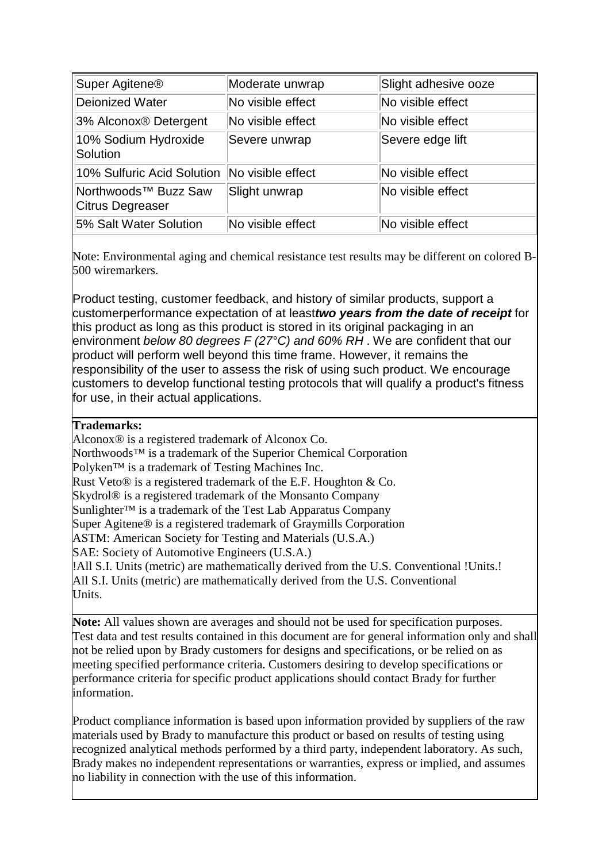| Super Agitene <sup>®</sup>                           | Moderate unwrap   | Slight adhesive ooze |
|------------------------------------------------------|-------------------|----------------------|
| Deionized Water                                      | No visible effect | No visible effect    |
| 3% Alconox® Detergent                                | No visible effect | No visible effect    |
| 10% Sodium Hydroxide<br>Solution                     | Severe unwrap     | Severe edge lift     |
| 10% Sulfuric Acid Solution                           | No visible effect | No visible effect    |
| Northwoods <sup>™</sup> Buzz Saw<br>Citrus Degreaser | Slight unwrap     | No visible effect    |
| 5% Salt Water Solution                               | No visible effect | No visible effect    |

Note: Environmental aging and chemical resistance test results may be different on colored B-500 wiremarkers.

Product testing, customer feedback, and history of similar products, support a customerperformance expectation of at least*two years from the date of receipt* for this product as long as this product is stored in its original packaging in an environment *below 80 degrees F (27°C) and 60% RH* . We are confident that our product will perform well beyond this time frame. However, it remains the responsibility of the user to assess the risk of using such product. We encourage customers to develop functional testing protocols that will qualify a product's fitness for use, in their actual applications.

#### **Trademarks:**

Alconox® is a registered trademark of Alconox Co. Northwoods<sup>™</sup> is a trademark of the Superior Chemical Corporation Polyken™ is a trademark of Testing Machines Inc. Rust Veto® is a registered trademark of the E.F. Houghton & Co. Skydrol® is a registered trademark of the Monsanto Company Sunlighter<sup>™</sup> is a trademark of the Test Lab Apparatus Company Super Agitene® is a registered trademark of Graymills Corporation ASTM: American Society for Testing and Materials (U.S.A.) SAE: Society of Automotive Engineers (U.S.A.) !All S.I. Units (metric) are mathematically derived from the U.S. Conventional !Units.! All S.I. Units (metric) are mathematically derived from the U.S. Conventional Units.

**Note:** All values shown are averages and should not be used for specification purposes. Test data and test results contained in this document are for general information only and shall not be relied upon by Brady customers for designs and specifications, or be relied on as meeting specified performance criteria. Customers desiring to develop specifications or performance criteria for specific product applications should contact Brady for further information.

Product compliance information is based upon information provided by suppliers of the raw materials used by Brady to manufacture this product or based on results of testing using recognized analytical methods performed by a third party, independent laboratory. As such, Brady makes no independent representations or warranties, express or implied, and assumes no liability in connection with the use of this information.